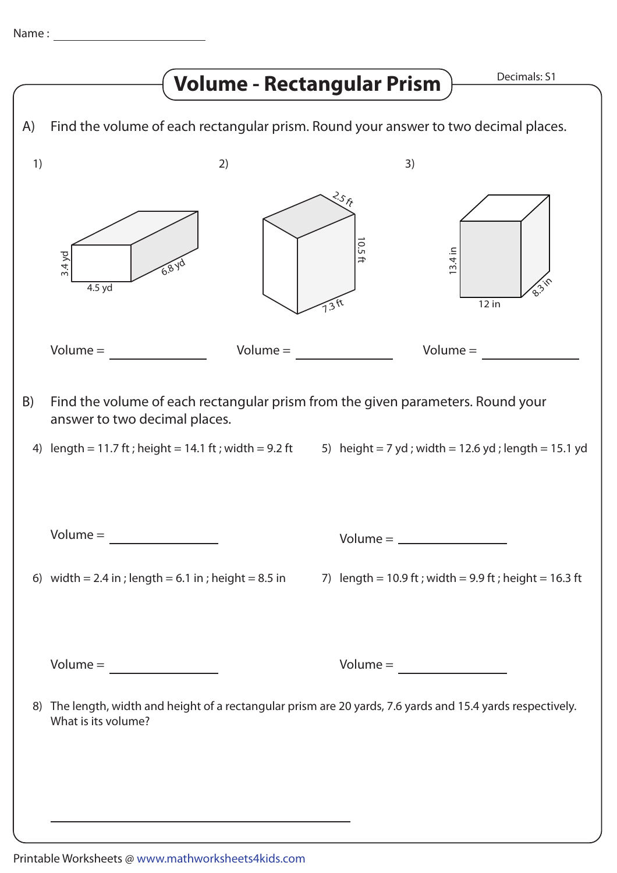|    |                                                                                                                  | <b>Volume - Rectangular Prism</b>                                                                        |                                                                                |                     | Decimals: S1 |
|----|------------------------------------------------------------------------------------------------------------------|----------------------------------------------------------------------------------------------------------|--------------------------------------------------------------------------------|---------------------|--------------|
| A) | Find the volume of each rectangular prism. Round your answer to two decimal places.                              |                                                                                                          |                                                                                |                     |              |
| 1) | 2)                                                                                                               |                                                                                                          | 3)                                                                             |                     |              |
|    | $3.4$ yd<br>6.8 yd<br>4.5 yd                                                                                     |                                                                                                          | $\mathcal{S}_{\mathcal{S}_{\mathcal{F}}}$<br>0.5<br>$\Rightarrow$<br>$.3^{ft}$ | $3.4$ in<br>$12$ in |              |
|    | $Volume =$                                                                                                       | $Volume =$                                                                                               |                                                                                | $Volume =$          |              |
| B) | Find the volume of each rectangular prism from the given parameters. Round your<br>answer to two decimal places. |                                                                                                          |                                                                                |                     |              |
| 4) | length = 11.7 ft; height = 14.1 ft; width = 9.2 ft 5) height = 7 yd; width = 12.6 yd; length = 15.1 yd           |                                                                                                          |                                                                                |                     |              |
|    | $Volume = \n\frac{1}{2}$                                                                                         |                                                                                                          |                                                                                | $Volume = \_$       |              |
|    | 6) width = 2.4 in ; length = 6.1 in ; height = 8.5 in                                                            |                                                                                                          | 7) $length = 10.9$ ft; width = 9.9 ft; height = 16.3 ft                        |                     |              |
| 8) | What is its volume?                                                                                              | The length, width and height of a rectangular prism are 20 yards, 7.6 yards and 15.4 yards respectively. |                                                                                |                     |              |
|    |                                                                                                                  |                                                                                                          |                                                                                |                     |              |